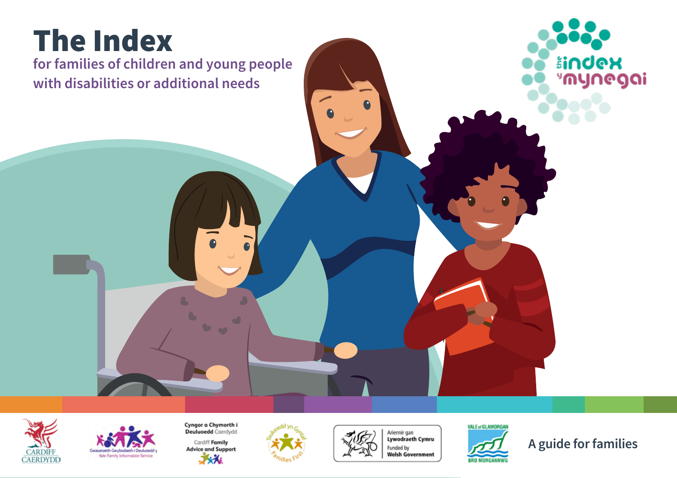# The Index

**for families of children and young people with disabilities or additional needs** 





Cyngor a Chymorth i<br>Deuluoedd Caerdydd Cardiff Family **Advice and Support** 大水



 $\bullet$ 





**A guide for families**

<mark>åindex</mark><br>"mynegai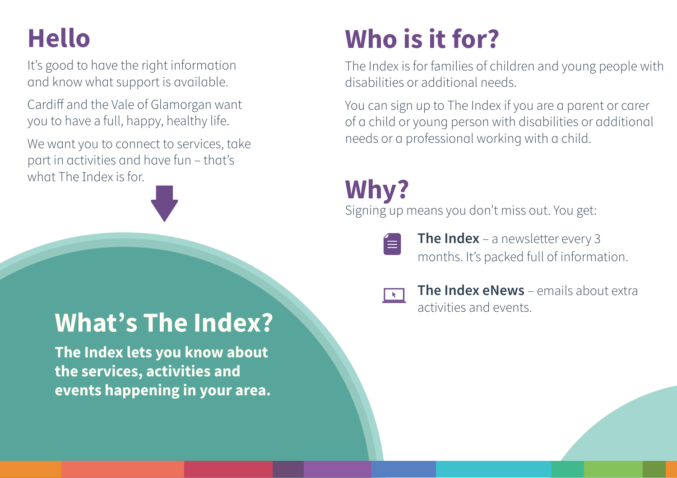## **Hello**

It's good to have the right information and know what support is available.

Cardiff and the Vale of Glamorgan want you to have a full, happy, healthy life.

We want you to connect to services, take part in activities and have fun – that's what The Index is for.



# **Who is it for?**

The Index is for families of children and young people with disabilities or additional needs.

You can sign up to The Index if you are a parent or carer of a child or young person with disabilities or additional needs or a professional working with a child.

## **Why?**

Signing up means you don't miss out. You get:



**The Index** – a newsletter every 3 months. It's packed full of information.



**The Index eNews** – emails about extra activities and events.

## **What's The Index?**

**The Index lets you know about the services, activities and events happening in your area.**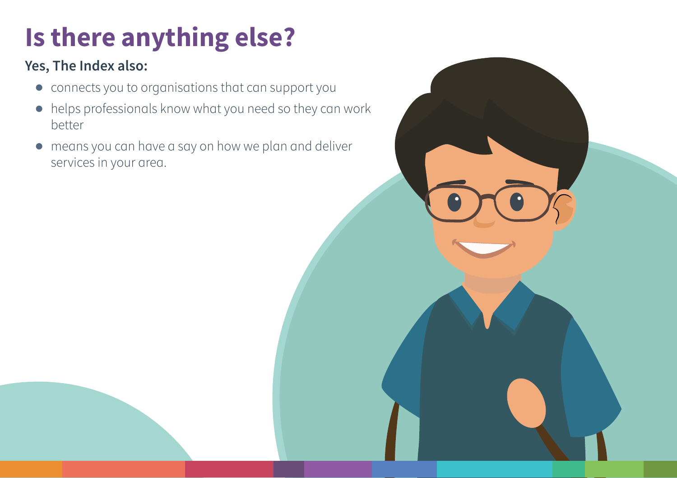# **Is there anything else?**

### **Yes, The Index also:**

- **●** connects you to organisations that can support you
- **●** helps professionals know what you need so they can work better
- **●** means you can have a say on how we plan and deliver services in your area.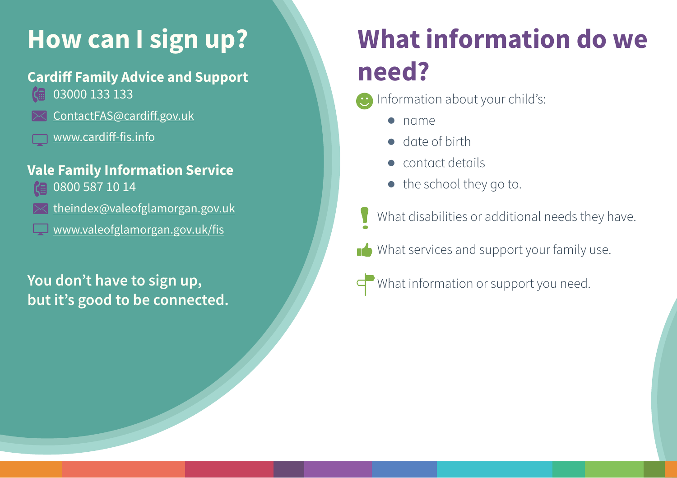## **How can I sign up?**

## **Cardiff Family Advice and Support**

- 03000 133 133
- [ContactFAS@cardiff.gov.uk](mailto:ContactFAS@cardiff.gov.uk)
	- [www.cardiff-fis.info](http://www.cardiff-fis.info)

### **Vale Family Information Service**

- 0800 587 10 14
- [theindex@valeofglamorgan.gov.uk](mailto:Theindex@valeofglamorgan.gov.uk)
- [www.valeofglamorgan.gov.uk/fis](http://www.valeofglamorgan.gov.uk/fis)

## **You don't have to sign up, but it's good to be connected.**

# **What information do we need?**

- Information about your child's:
	- **●** name
	- **●** date of birth
	- **●** contact details
	- **●** the school they go to.
	- What disabilities or additional needs they have.
- What services and support your family use.
- What information or support you need.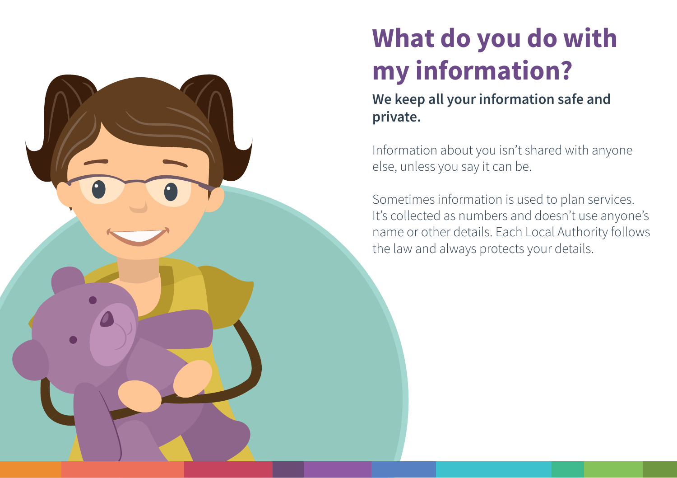# **What do you do with my information?**

**We keep all your information safe and private.** 

Information about you isn't shared with anyone else, unless you say it can be.

Sometimes information is used to plan services. It's collected as numbers and doesn't use anyone's name or other details. Each Local Authority follows the law and always protects your details.